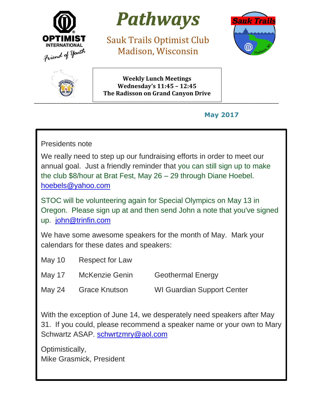



Sauk Trails Optimist Club Madison, Wisconsin





**Weekly Lunch Meetings Wednesday's 11:45 – 12:45 The Radisson on Grand Canyon Drive**

# **May 2017**

Presidents note

We really need to step up our fundraising efforts in order to meet our annual goal. Just a friendly reminder that you can still sign up to make the club \$8/hour at Brat Fest, May 26 – 29 through Diane Hoebel. [hoebels@yahoo.com](mailto:hoebels@yahoo.com)

STOC will be volunteering again for Special Olympics on May 13 in Oregon. Please sign up at and then send John a note that you've signed up. [john@trinfin.com](mailto:john@trinfin.com)

We have some awesome speakers for the month of May. Mark your calendars for these dates and speakers:

May 10 Respect for Law

May 17 McKenzie Genin Geothermal Energy

May 24 Grace Knutson WI Guardian Support Center

With the exception of June 14, we desperately need speakers after May 31. If you could, please recommend a speaker name or your own to Mary Schwartz ASAP. [schwrtzmry@aol.com](mailto:schwrtzmry@aol.com)

Optimistically, Mike Grasmick, President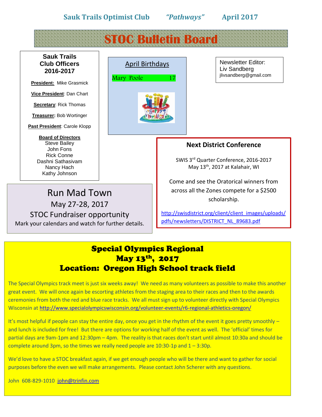

# **STOC Bulletin Board**

### **Sauk Trails Club Officers 2016-2017**

**President:** Mike Grasmick

**Vice President**: Dan Chart

**Secretary**: Rick Thomas

**Treasurer:** Bob Wortinger

**Past President**: Carole Klopp

### **Board of Directors**

Steve Bailey John Fons Rick Conne Dashni Sathasivam Nancy Hach Kathy Johnson

Run Mad Town May 27-28, 2017 STOC Fundraiser opportunity Mark your calendars and watch for further details.

April Birthdays Mary Poole 17

Newsletter Editor: Liv Sandberg jlivsandberg@gmail.com

## **Next District Conference**

SWIS 3rd Quarter Conference, 2016-2017 May 13<sup>th</sup>, 2017 at Kalahair, WI

Come and see the Oratorical winners from across all the Zones compete for a \$2500 scholarship.

[http://swisdistrict.org/client/client\\_images/uploads/](http://swisdistrict.org/client/client_images/uploads/pdfs/newsletters/DISTRICT_NL_89683.pdf) [pdfs/newsletters/DISTRICT\\_NL\\_89683.pdf](http://swisdistrict.org/client/client_images/uploads/pdfs/newsletters/DISTRICT_NL_89683.pdf)

# Special Olympics Regional May 13th , 2017 Location: Oregon High School track field

The Special Olympics track meet is just six weeks away! We need as many volunteers as possible to make this another great event. We will once again be escorting athletes from the staging area to their races and then to the awards ceremonies from both the red and blue race tracks. We all must sign up to volunteer directly with Special Olympics Wisconsin at<http://www.specialolympicswisconsin.org/volunteer-events/r6-regional-athletics-oregon/>

It's most helpful if people can stay the entire day, once you get in the rhythm of the event it goes pretty smoothly and lunch is included for free! But there are options for working half of the event as well. The 'official' times for partial days are 9am-1pm and 12:30pm – 4pm. The reality is that races don't start until almost 10:30a and should be complete around 3pm, so the times we really need people are  $10:30-1$  p and  $1-3:30$  p.

We'd love to have a STOC breakfast again, if we get enough people who will be there and want to gather for social purposes before the even we will make arrangements. Please contact John Scherer with any questions.

John 608-829-1010 [john@trinfin.com](mailto:john@trinfin.com)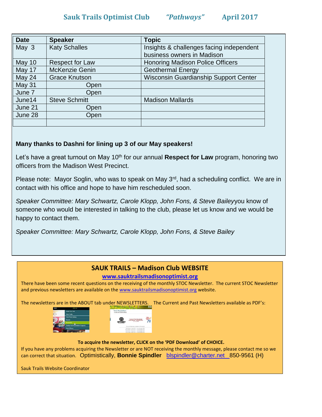| <b>Date</b>   | <b>Speaker</b>         | <b>Topic</b>                             |
|---------------|------------------------|------------------------------------------|
| May 3         | <b>Katy Schalles</b>   | Insights & challenges facing independent |
|               |                        | business owners in Madison               |
| <b>May 10</b> | <b>Respect for Law</b> | <b>Honoring Madison Police Officers</b>  |
| May 17        | <b>McKenzie Genin</b>  | <b>Geothermal Energy</b>                 |
| May 24        | <b>Grace Knutson</b>   | Wisconsin Guardianship Support Center    |
| <b>May 31</b> | Open                   |                                          |
| June 7        | Open                   |                                          |
| June14        | <b>Steve Schmitt</b>   | <b>Madison Mallards</b>                  |
| June 21       | Open                   |                                          |
| June 28       | Open                   |                                          |
|               |                        |                                          |

### **Many thanks to Dashni for lining up 3 of our May speakers!**

Let's have a great turnout on May 10<sup>th</sup> for our annual **Respect for Law** program, honoring two officers from the Madison West Precinct.

Please note: Mayor Soglin, who was to speak on May 3<sup>rd</sup>, had a scheduling conflict. We are in contact with his office and hope to have him rescheduled soon.

*Speaker Committee: Mary Schwartz, Carole Klopp, John Fons, & Steve Bailey*you know of someone who would be interested in talking to the club, please let us know and we would be happy to contact them.

*Speaker Committee: Mary Schwartz, Carole Klopp, John Fons, & Steve Bailey*

## **SAUK TRAILS – Madison Club WEBSITE**

#### **[www.sauktrailsmadisonoptimist.org](http://www.sauktrailsmadisonoptimist.org/)**

There have been some recent questions on the receiving of the monthly STOC Newsletter. The current STOC Newsletter and previous newsletters are available on the [www.sauktrailsmadisonoptimist.org](http://www.sauktrailsmadisonoptimist.org/) website.

The newsletters are in the ABOUT tab under NEWSLETTERS. The Current and Past Newsletters available as PDF's:



### **To acquire the newsletter, CLICK on the 'PDF Download' of CHOICE.**

If you have any problems acquiring the Newsletter or are NOT receiving the monthly message, please contact me so we can correct that situation. Optimistically, **Bonnie Spindler** [blspindler@charter.net](mailto:blspindler@charter.net) 850-9561 (H)

Sauk Trails Website Coordinator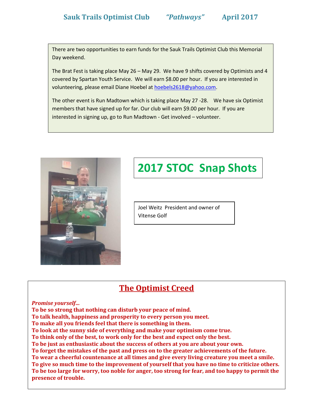There are two opportunities to earn funds for the Sauk Trails Optimist Club this Memorial Day weekend.

The Brat Fest is taking place May 26 – May 29. We have 9 shifts covered by Optimists and 4 covered by Spartan Youth Service. We will earn \$8.00 per hour. If you are interested in volunteering, please email Diane Hoebel a[t hoebels2618@yahoo.com.](mailto:hoebels2618@yahoo.com)

The other event is Run Madtown which is taking place May 27 -28. We have six Optimist members that have signed up for far. Our club will earn \$9.00 per hour. If you are interested in signing up, go to Run Madtown - Get involved – volunteer.



# **2017 STOC Snap Shots**

Joel Weitz President and owner of Vitense Golf

# **The Optimist Creed**

### *Promise yourself…*

**To be so strong that nothing can disturb your peace of mind.**

**To talk health, happiness and prosperity to every person you meet.**

**To make all you friends feel that there is something in them.**

**To look at the sunny side of everything and make your optimism come true.**

**To think only of the best, to work only for the best and expect only the best.**

**To be just as enthusiastic about the success of others at you are about your own.**

**To forget the mistakes of the past and press on to the greater achievements of the future.**

**To wear a cheerful countenance at all times and give every living creature you meet a smile.**

**To give so much time to the improvement of yourself that you have no time to criticize others. To be too large for worry, too noble for anger, too strong for fear, and too happy to permit the presence of trouble.**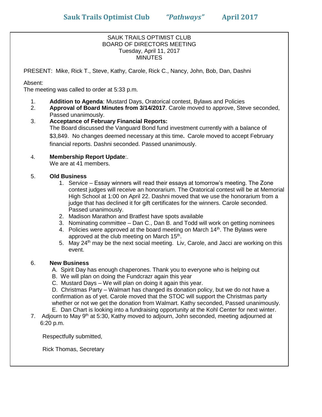### SAUK TRAILS OPTIMIST CLUB BOARD OF DIRECTORS MEETING Tuesday, April 11, 2017 **MINUTES**

PRESENT: Mike, Rick T., Steve, Kathy, Carole, Rick C., Nancy, John, Bob, Dan, Dashni

### Absent:

The meeting was called to order at 5:33 p.m.

- 1. **Addition to Agenda**: Mustard Days, Oratorical contest, Bylaws and Policies
- 2. **Approval of Board Minutes from 3/14/2017**. Carole moved to approve, Steve seconded, Passed unanimously.
- 3. **Acceptance of February Financial Reports:**  The Board discussed the Vanguard Bond fund investment currently with a balance of \$3,849. No changes deemed necessary at this time**.** Carole moved to accept February financial reports. Dashni seconded. Passed unanimously.
- 4. **Membership Report Update**:.

We are at 41 members.

### 5. **Old Business**

- 1. Service Essay winners will read their essays at tomorrow's meeting. The Zone contest judges will receive an honorarium. The Oratorical contest will be at Memorial High School at 1:00 on April 22. Dashni moved that we use the honorarium from a judge that has declined it for gift certificates for the winners. Carole seconded. Passed unanimously.
- 2. Madison Marathon and Bratfest have spots available
- 3. Nominating committee Dan C., Dan B. and Todd will work on getting nominees
- 4. Policies were approved at the board meeting on March  $14<sup>th</sup>$ . The Bylaws were approved at the club meeting on March 15<sup>th</sup>.
- 5. May 24<sup>th</sup> may be the next social meeting. Liv, Carole, and Jacci are working on this event.

### 6. **New Business**

- A. Spirit Day has enough chaperones. Thank you to everyone who is helping out
- B. We will plan on doing the Fundcrazr again this year
- C. Mustard Days We will plan on doing it again this year.

D. Christmas Party – Walmart has changed its donation policy, but we do not have a confirmation as of yet. Carole moved that the STOC will support the Christmas party whether or not we get the donation from Walmart. Kathy seconded, Passed unanimously. E. Dan Chart is looking into a fundraising opportunity at the Kohl Center for next winter.

7. Adjourn to May 9<sup>th</sup> at 5:30, Kathy moved to adjourn, John seconded, meeting adjourned at 6:20 p.m.

Respectfully submitted,

Rick Thomas, Secretary